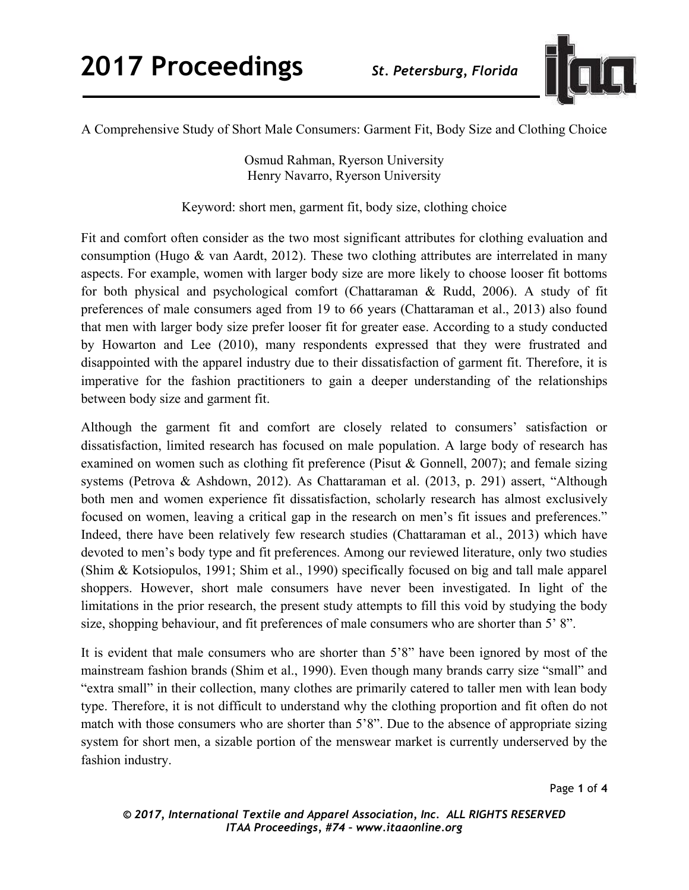

A Comprehensive Study of Short Male Consumers: Garment Fit, Body Size and Clothing Choice

Osmud Rahman, Ryerson University Henry Navarro, Ryerson University

Keyword: short men, garment fit, body size, clothing choice

Fit and comfort often consider as the two most significant attributes for clothing evaluation and consumption (Hugo & van Aardt, 2012). These two clothing attributes are interrelated in many aspects. For example, women with larger body size are more likely to choose looser fit bottoms for both physical and psychological comfort (Chattaraman & Rudd, 2006). A study of fit preferences of male consumers aged from 19 to 66 years (Chattaraman et al., 2013) also found that men with larger body size prefer looser fit for greater ease. According to a study conducted by Howarton and Lee (2010), many respondents expressed that they were frustrated and disappointed with the apparel industry due to their dissatisfaction of garment fit. Therefore, it is imperative for the fashion practitioners to gain a deeper understanding of the relationships between body size and garment fit.

Although the garment fit and comfort are closely related to consumers' satisfaction or dissatisfaction, limited research has focused on male population. A large body of research has examined on women such as clothing fit preference (Pisut & Gonnell, 2007); and female sizing systems (Petrova & Ashdown, 2012). As Chattaraman et al. (2013, p. 291) assert, "Although both men and women experience fit dissatisfaction, scholarly research has almost exclusively focused on women, leaving a critical gap in the research on men's fit issues and preferences." Indeed, there have been relatively few research studies (Chattaraman et al., 2013) which have devoted to men's body type and fit preferences. Among our reviewed literature, only two studies (Shim & Kotsiopulos, 1991; Shim et al., 1990) specifically focused on big and tall male apparel shoppers. However, short male consumers have never been investigated. In light of the limitations in the prior research, the present study attempts to fill this void by studying the body size, shopping behaviour, and fit preferences of male consumers who are shorter than 5' 8".

It is evident that male consumers who are shorter than 5'8" have been ignored by most of the mainstream fashion brands (Shim et al., 1990). Even though many brands carry size "small" and "extra small" in their collection, many clothes are primarily catered to taller men with lean body type. Therefore, it is not difficult to understand why the clothing proportion and fit often do not match with those consumers who are shorter than 5'8". Due to the absence of appropriate sizing system for short men, a sizable portion of the menswear market is currently underserved by the fashion industry.

Page **1** of **4**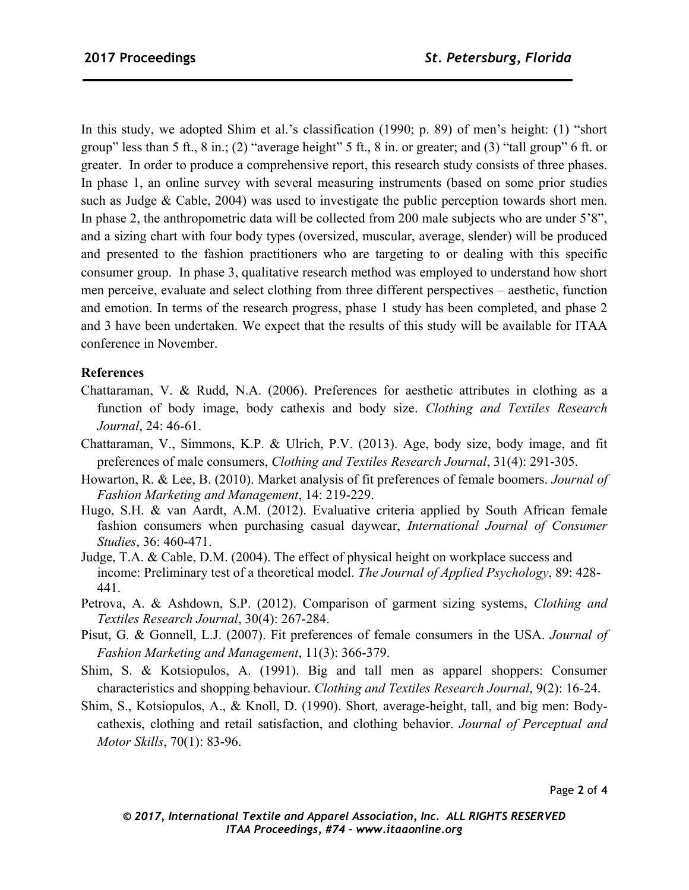In this study, we adopted Shim et al.'s classification (1990; p. 89) of men's height: (1) "short group" less than 5 ft., 8 in.; (2) "average height" 5 ft., 8 in. or greater; and (3) "tall group" 6 ft. or greater. In order to produce a comprehensive report, this research study consists of three phases. In phase 1, an online survey with several measuring instruments (based on some prior studies such as Judge & Cable, 2004) was used to investigate the public perception towards short men. In phase 2, the anthropometric data will be collected from 200 male subjects who are under 5'8", and a sizing chart with four body types (oversized, muscular, average, slender) will be produced and presented to the fashion practitioners who are targeting to or dealing with this specific consumer group. In phase 3, qualitative research method was employed to understand how short men perceive, evaluate and select clothing from three different perspectives – aesthetic, function and emotion. In terms of the research progress, phase 1 study has been completed, and phase 2 and 3 have been undertaken. We expect that the results of this study will be available for ITAA conference in November.

## **References**

- Chattaraman, V. & Rudd, N.A. (2006). Preferences for aesthetic attributes in clothing as a function of body image, body cathexis and body size. *Clothing and Textiles Research Journal*, 24: 46-61.
- Chattaraman, V., Simmons, K.P. & Ulrich, P.V. (2013). Age, body size, body image, and fit preferences of male consumers, *Clothing and Textiles Research Journal*, 31(4): 291-305.
- Howarton, R. & Lee, B. (2010). Market analysis of fit preferences of female boomers. *Journal of Fashion Marketing and Management*, 14: 219-229.
- Hugo, S.H. & van Aardt, A.M. (2012). Evaluative criteria applied by South African female fashion consumers when purchasing casual daywear, *International Journal of Consumer Studies*, 36: 460-471.
- Judge, T.A. & Cable, D.M. (2004). The effect of physical height on workplace success and income: Preliminary test of a theoretical model. *The Journal of Applied Psychology*, 89: 428- 441.
- Petrova, A. & Ashdown, S.P. (2012). Comparison of garment sizing systems, *Clothing and Textiles Research Journal*, 30(4): 267-284.
- Pisut, G. & Gonnell, L.J. (2007). Fit preferences of female consumers in the USA. *Journal of Fashion Marketing and Management*, 11(3): 366-379.
- Shim, S. & Kotsiopulos, A. (1991). Big and tall men as apparel shoppers: Consumer characteristics and shopping behaviour. *Clothing and Textiles Research Journal*, 9(2): 16-24.
- Shim, S., Kotsiopulos, A., & Knoll, D. (1990). Short*,* average-height, tall, and big men: Bodycathexis, clothing and retail satisfaction, and clothing behavior. *Journal of Perceptual and Motor Skills*, 70(1): 83-96.